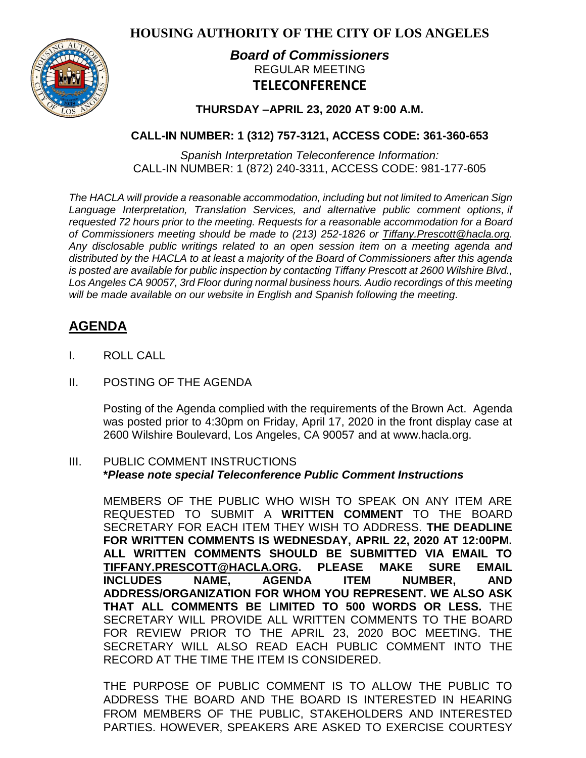**HOUSING AUTHORITY OF THE CITY OF LOS ANGELES**



# *Board of Commissioners* REGULAR MEETING **TELECONFERENCE**

**THURSDAY –APRIL 23, 2020 AT 9:00 A.M.**

## **CALL-IN NUMBER: 1 (312) 757-3121, ACCESS CODE: 361-360-653**

*Spanish Interpretation Teleconference Information:* CALL-IN NUMBER: 1 (872) 240-3311, ACCESS CODE: 981-177-605

*The HACLA will provide a reasonable accommodation, including but not limited to American Sign Language Interpretation, Translation Services, and alternative public comment options, if requested 72 hours prior to the meeting. Requests for a reasonable accommodation for a Board of Commissioners meeting should be made to (213) 252-1826 or Tiffany.Prescott@hacla.org. Any disclosable public writings related to an open session item on a meeting agenda and distributed by the HACLA to at least a majority of the Board of Commissioners after this agenda is posted are available for public inspection by contacting Tiffany Prescott at 2600 Wilshire Blvd., Los Angeles CA 90057, 3rd Floor during normal business hours. Audio recordings of this meeting will be made available on our website in English and Spanish following the meeting.*

# **AGENDA**

- I. ROLL CALL
- II. POSTING OF THE AGENDA

Posting of the Agenda complied with the requirements of the Brown Act. Agenda was posted prior to 4:30pm on Friday, April 17, 2020 in the front display case at 2600 Wilshire Boulevard, Los Angeles, CA 90057 and at [www.hacla.org.](http://www.hacla.org/)

#### III. PUBLIC COMMENT INSTRUCTIONS **\****Please note special Teleconference Public Comment Instructions*

MEMBERS OF THE PUBLIC WHO WISH TO SPEAK ON ANY ITEM ARE REQUESTED TO SUBMIT A **WRITTEN COMMENT** TO THE BOARD SECRETARY FOR EACH ITEM THEY WISH TO ADDRESS. **THE DEADLINE FOR WRITTEN COMMENTS IS WEDNESDAY, APRIL 22, 2020 AT 12:00PM. ALL WRITTEN COMMENTS SHOULD BE SUBMITTED VIA EMAIL TO [TIFFANY.PRESCOTT@HACLA.ORG.](mailto:TIFFANY.PRESCOTT@HACLA.ORG) PLEASE MAKE SURE EMAIL INCLUDES NAME, AGENDA ITEM NUMBER, AND ADDRESS/ORGANIZATION FOR WHOM YOU REPRESENT. WE ALSO ASK THAT ALL COMMENTS BE LIMITED TO 500 WORDS OR LESS.** THE SECRETARY WILL PROVIDE ALL WRITTEN COMMENTS TO THE BOARD FOR REVIEW PRIOR TO THE APRIL 23, 2020 BOC MEETING. THE SECRETARY WILL ALSO READ EACH PUBLIC COMMENT INTO THE RECORD AT THE TIME THE ITEM IS CONSIDERED.

THE PURPOSE OF PUBLIC COMMENT IS TO ALLOW THE PUBLIC TO ADDRESS THE BOARD AND THE BOARD IS INTERESTED IN HEARING FROM MEMBERS OF THE PUBLIC, STAKEHOLDERS AND INTERESTED PARTIES. HOWEVER, SPEAKERS ARE ASKED TO EXERCISE COURTESY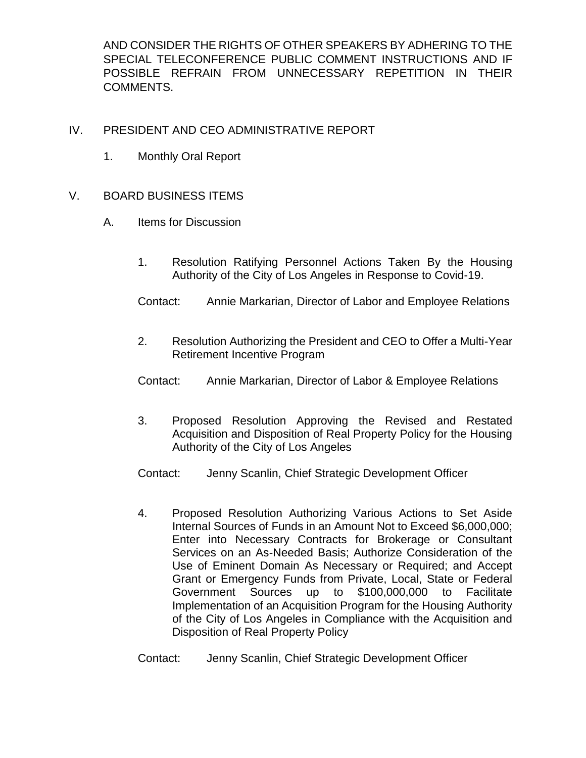AND CONSIDER THE RIGHTS OF OTHER SPEAKERS BY ADHERING TO THE SPECIAL TELECONFERENCE PUBLIC COMMENT INSTRUCTIONS AND IF POSSIBLE REFRAIN FROM UNNECESSARY REPETITION IN THEIR COMMENTS.

## IV. PRESIDENT AND CEO ADMINISTRATIVE REPORT

1. Monthly Oral Report

### V. BOARD BUSINESS ITEMS

- A. Items for Discussion
	- 1. Resolution Ratifying Personnel Actions Taken By the Housing Authority of the City of Los Angeles in Response to Covid-19.
	- Contact: Annie Markarian, Director of Labor and Employee Relations
	- 2. Resolution Authorizing the President and CEO to Offer a Multi-Year Retirement Incentive Program
	- Contact: Annie Markarian, Director of Labor & Employee Relations
	- 3. Proposed Resolution Approving the Revised and Restated Acquisition and Disposition of Real Property Policy for the Housing Authority of the City of Los Angeles
	- Contact: Jenny Scanlin, Chief Strategic Development Officer
	- 4. Proposed Resolution Authorizing Various Actions to Set Aside Internal Sources of Funds in an Amount Not to Exceed \$6,000,000; Enter into Necessary Contracts for Brokerage or Consultant Services on an As-Needed Basis; Authorize Consideration of the Use of Eminent Domain As Necessary or Required; and Accept Grant or Emergency Funds from Private, Local, State or Federal Government Sources up to \$100,000,000 to Facilitate Implementation of an Acquisition Program for the Housing Authority of the City of Los Angeles in Compliance with the Acquisition and Disposition of Real Property Policy

Contact: Jenny Scanlin, Chief Strategic Development Officer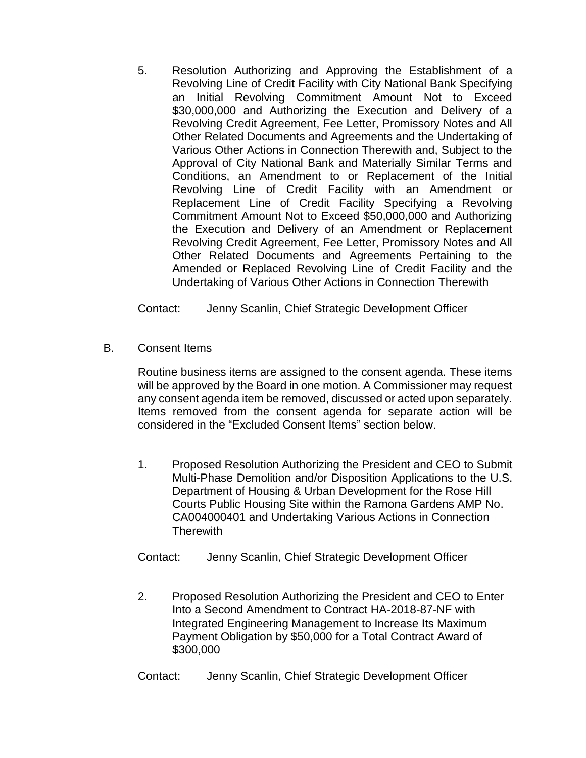5. Resolution Authorizing and Approving the Establishment of a Revolving Line of Credit Facility with City National Bank Specifying an Initial Revolving Commitment Amount Not to Exceed \$30,000,000 and Authorizing the Execution and Delivery of a Revolving Credit Agreement, Fee Letter, Promissory Notes and All Other Related Documents and Agreements and the Undertaking of Various Other Actions in Connection Therewith and, Subject to the Approval of City National Bank and Materially Similar Terms and Conditions, an Amendment to or Replacement of the Initial Revolving Line of Credit Facility with an Amendment or Replacement Line of Credit Facility Specifying a Revolving Commitment Amount Not to Exceed \$50,000,000 and Authorizing the Execution and Delivery of an Amendment or Replacement Revolving Credit Agreement, Fee Letter, Promissory Notes and All Other Related Documents and Agreements Pertaining to the Amended or Replaced Revolving Line of Credit Facility and the Undertaking of Various Other Actions in Connection Therewith

Contact: Jenny Scanlin, Chief Strategic Development Officer

B. Consent Items

Routine business items are assigned to the consent agenda. These items will be approved by the Board in one motion. A Commissioner may request any consent agenda item be removed, discussed or acted upon separately. Items removed from the consent agenda for separate action will be considered in the "Excluded Consent Items" section below.

1. Proposed Resolution Authorizing the President and CEO to Submit Multi-Phase Demolition and/or Disposition Applications to the U.S. Department of Housing & Urban Development for the Rose Hill Courts Public Housing Site within the Ramona Gardens AMP No. CA004000401 and Undertaking Various Actions in Connection **Therewith** 

Contact: Jenny Scanlin, Chief Strategic Development Officer

2. Proposed Resolution Authorizing the President and CEO to Enter Into a Second Amendment to Contract HA-2018-87-NF with Integrated Engineering Management to Increase Its Maximum Payment Obligation by \$50,000 for a Total Contract Award of \$300,000

Contact: Jenny Scanlin, Chief Strategic Development Officer